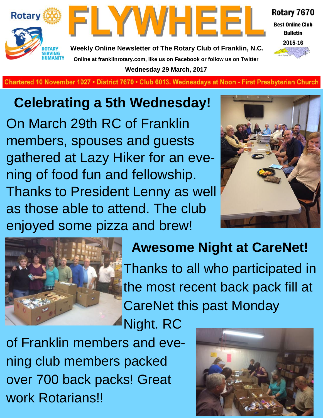



Rotary 7670 **Best Online Club** 

> **Bulletin** 2015-16

**Weekly Online Newsletter of The Rotary Club of Franklin, N.C. Online at franklinrotary.com, like us on Facebook or follow us on Twitter Wednesday 29 March, 2017**

**Charted November 29, 1927 • District 7670 • Club 6013 Wednesdays at Noon - First Presbyterian Church**

## **Celebrating a 5th Wednesday!**

On March 29th RC of Franklin members, spouses and guests gathered at Lazy Hiker for an evening of food fun and fellowship. Thanks to President Lenny as well as those able to attend. The club enjoyed some pizza and brew!





## **Awesome Night at CareNet!**

Thanks to all who participated in the most recent back pack fill at CareNet this past Monday

Night. RC

of Franklin members and evening club members packed over 700 back packs! Great work Rotarians!!

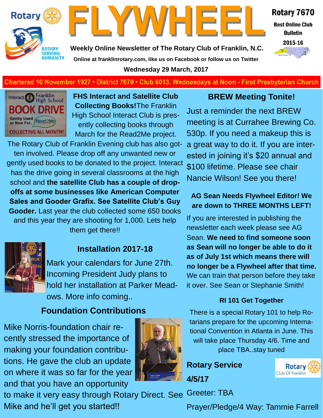



Rotary 7670 **Best Online Club Bulletin** 

2015-16

**Weekly Online Newsletter of The Rotary Club of Franklin, N.C. Online at franklinrotary.com, like us on Facebook or follow us on Twitter Wednesday 29 March, 2017**

#### **Chartered 10 November 1927 • District 7670 • Club 6013. Wednesdays at Noon - First Presbyterian Church**



**FHS Interact and Satellite Club Collecting Books!**The Franklin High School Interact Club is presently collecting books through March for the Read2Me project.

The Rotary Club of Franklin Evening club has also gotten involved. Please drop off any unwanted new or gently used books to be donated to the project. Interact has the drive going in several classrooms at the high school and **the satellite Club has a couple of dropoffs at some businesses like American Computer Sales and Gooder Grafix. See Satellite Club's Guy Gooder.** Last year the club collected some 650 books and this year they are shooting for 1,000. Lets help them get there!!



Mark your calendars for June 27th. Incoming President Judy plans to hold her installation at Parker Meadows. More info coming..

#### **Foundation Contributions**

Mike Norris-foundation chair recently stressed the importance of making your foundation contributions. He gave the club an update on where it was so far for the year and that you have an opportunity



to make it very easy through Rotary Direct. See Mike and he'll get you started!!

#### **BREW Meeting Tonite!**

Just a reminder the next BREW meeting is at Currahee Brewing Co. 530p. If you need a makeup this is a great way to do it. If you are interested in joining it's \$20 annual and \$100 lifetime. Please see chair Nancie Wilson! See you there!

#### **AG Sean Needs Flywheel Editor! We are down to THREE MONTHS LEFT!**

If you are interested in publishing the newsletter each week please see AG Sean. **We need to find someone soon as Sean will no longer be able to do it as of July 1st which means there will no longer be a Flywheel after that time.**  We can train that person before they take it over. See Sean or Stephanie Smith!

#### **RI 101 Get Together**

There is a special Rotary 101 to help Rotarians prepare for the upcoming International Convention in Atlanta in June. This will take place Thursday 4/6. Time and place TBA..stay tuned

**Rotary Service 4/5/17**



Greeter: TBA

Prayer/Pledge/4 Way: Tammie Farrell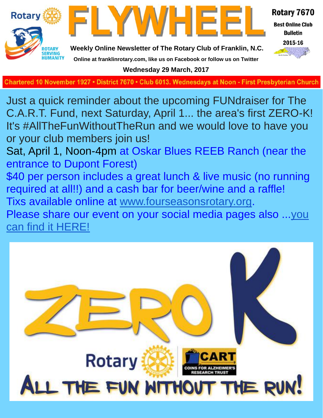

**Charted November 29, 1927 • District 7670 • Club 6013 Wednesdays at Noon - First Presbyterian Church**

Just a quick reminder about the upcoming FUNdraiser for The C.A.R.T. Fund, next Saturday, April 1... the area's first ZERO-K! It's #AllTheFunWithoutTheRun and we would love to have you or your club members join us!

Sat, April 1, Noon-4pm at Oskar Blues REEB Ranch (near the entrance to Dupont Forest)

\$40 per person includes a great lunch & live music (no running required at all!!) and a cash bar for beer/wine and a raffle!

Tixs available online at [www.fourseasonsrotary.org.](http://www.fourseasonsrotary.org/) Please share our event on your social media pages also ...[you](https://www.facebook.com/events/748878798601545/) 

[can find it HERE!](https://www.facebook.com/events/748878798601545/)

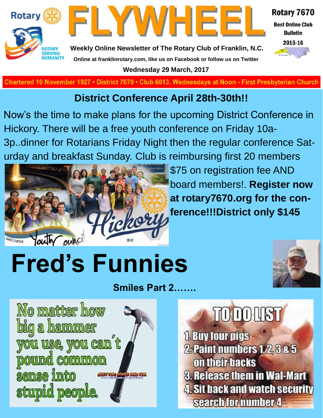



Rotary 7670 **Best Online Club** 

**Bulletin** 



**Weekly Online Newsletter of The Rotary Club of Franklin, N.C. Online at franklinrotary.com, like us on Facebook or follow us on Twitter Wednesday 29 March, 2017**

**Charted November 29, 1927 • District 7670 • Club 6013 Wednesdays at Noon - First Presbyterian Church**

### **District Conference April 28th-30th!!**

Now's the time to make plans for the upcoming District Conference in Hickory. There will be a free youth conference on Friday 10a-3p..dinner for Rotarians Friday Night then the regular conference Saturday and breakfast Sunday. Club is reimbursing first 20 members



\$75 on registration fee AND board members!. **Register now at rotary7670.org for the conference!!!District only \$145**

# **Fred's Funnies**



**Smiles Part 2…….**



## TODOUST **1. Buy four pigs 2. Paint numbers 1, 2, 3 & 5** on their backs **3. Release them in Wal-Mart 4. Sit back and watch security**

search for number 4